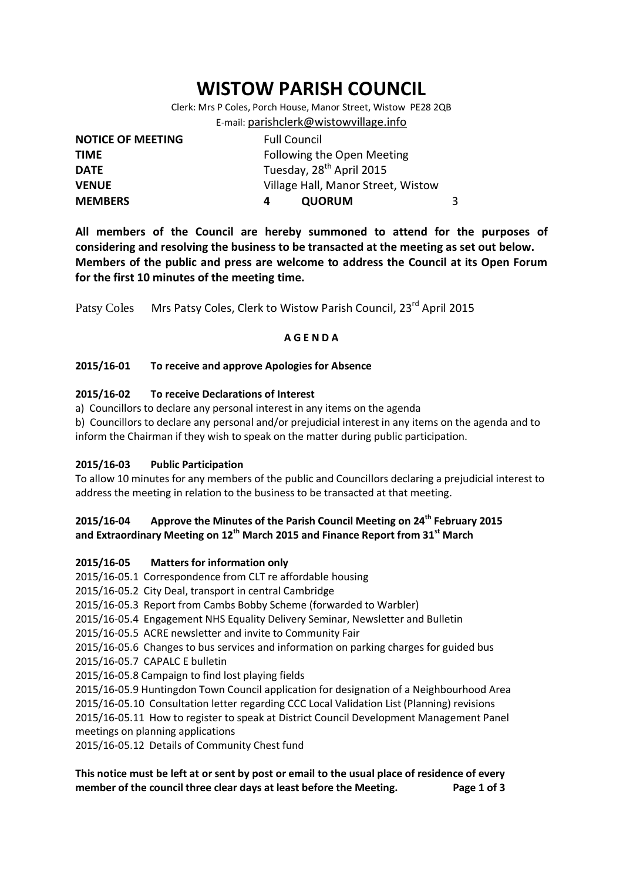# **WISTOW PARISH COUNCIL**

Clerk: Mrs P Coles, Porch House, Manor Street, Wistow PE28 2QB E-mail: [parishclerk@wistowvillage.info](mailto:parishclerk@wistowvillage.info)

| <b>NOTICE OF MEETING</b> | <b>Full Council</b>                  |  |
|--------------------------|--------------------------------------|--|
| <b>TIME</b>              | Following the Open Meeting           |  |
| <b>DATE</b>              | Tuesday, 28 <sup>th</sup> April 2015 |  |
| <b>VENUE</b>             | Village Hall, Manor Street, Wistow   |  |
| <b>MEMBERS</b>           | <b>QUORUM</b>                        |  |

**All members of the Council are hereby summoned to attend for the purposes of considering and resolving the business to be transacted at the meeting as set out below. Members of the public and press are welcome to address the Council at its Open Forum for the first 10 minutes of the meeting time.**

Patsy Coles Mrs Patsy Coles, Clerk to Wistow Parish Council, 23<sup>rd</sup> April 2015

# **A G E N D A**

## **2015/16-01 To receive and approve Apologies for Absence**

## **2015/16-02 To receive Declarations of Interest**

a) Councillors to declare any personal interest in any items on the agenda

b) Councillors to declare any personal and/or prejudicial interest in any items on the agenda and to inform the Chairman if they wish to speak on the matter during public participation.

#### **2015/16-03 Public Participation**

To allow 10 minutes for any members of the public and Councillors declaring a prejudicial interest to address the meeting in relation to the business to be transacted at that meeting.

# **2015/16-04 Approve the Minutes of the Parish Council Meeting on 24th February 2015 and Extraordinary Meeting on 12th March 2015 and Finance Report from 31st March**

# **2015/16-05 Matters for information only**

2015/16-05.1 Correspondence from CLT re affordable housing

2015/16-05.2 City Deal, transport in central Cambridge

2015/16-05.3 Report from Cambs Bobby Scheme (forwarded to Warbler)

2015/16-05.4 Engagement NHS Equality Delivery Seminar, Newsletter and Bulletin

2015/16-05.5 ACRE newsletter and invite to Community Fair

2015/16-05.6 Changes to bus services and information on parking charges for guided bus

- 2015/16-05.7 CAPALC E bulletin
- 2015/16-05.8 Campaign to find lost playing fields

2015/16-05.9 Huntingdon Town Council application for designation of a Neighbourhood Area 2015/16-05.10 Consultation letter regarding CCC Local Validation List (Planning) revisions

2015/16-05.11 How to register to speak at District Council Development Management Panel meetings on planning applications

2015/16-05.12 Details of Community Chest fund

# **This notice must be left at or sent by post or email to the usual place of residence of every member of the council three clear days at least before the Meeting. Page 1 of 3**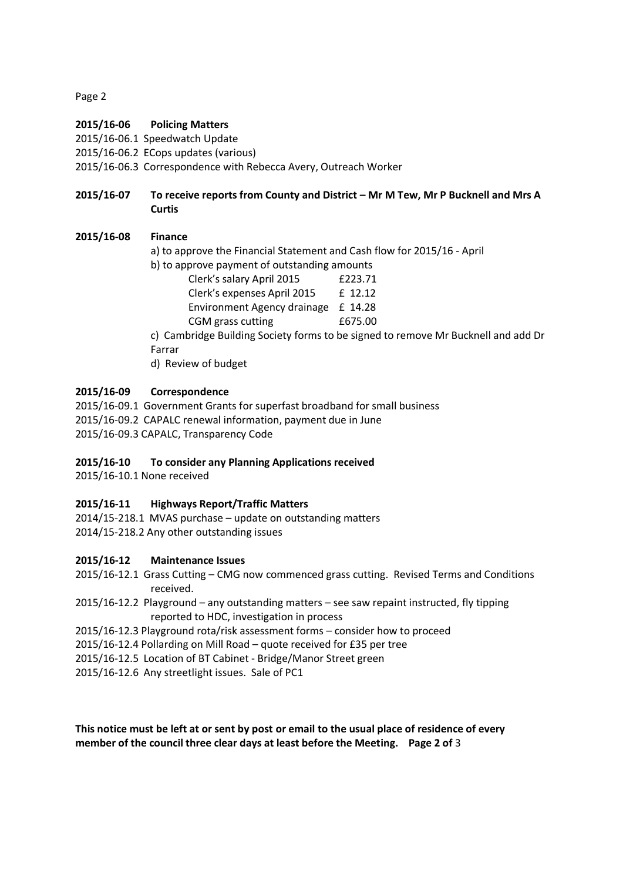Page 2

## **2015/16-06 Policing Matters**

2015/16-06.1 Speedwatch Update

2015/16-06.2 ECops updates (various)

2015/16-06.3 Correspondence with Rebecca Avery, Outreach Worker

# **2015/16-07 To receive reports from County and District – Mr M Tew, Mr P Bucknell and Mrs A Curtis**

## **2015/16-08 Finance**

- a) to approve the Financial Statement and Cash flow for 2015/16 April
- b) to approve payment of outstanding amounts

| Clerk's salary April 2015   | £223.71 |
|-----------------------------|---------|
| Clerk's expenses April 2015 | £ 12.12 |
| Environment Agency drainage | £ 14.28 |
| CGM grass cutting           | £675.00 |

c) Cambridge Building Society forms to be signed to remove Mr Bucknell and add Dr Farrar

d) Review of budget

## **2015/16-09 Correspondence**

2015/16-09.1 Government Grants for superfast broadband for small business 2015/16-09.2 CAPALC renewal information, payment due in June 2015/16-09.3 CAPALC, Transparency Code

#### **2015/16-10 To consider any Planning Applications received**

2015/16-10.1 None received

# **2015/16-11 Highways Report/Traffic Matters**

2014/15-218.1 MVAS purchase – update on outstanding matters 2014/15-218.2 Any other outstanding issues

# **2015/16-12 Maintenance Issues**

2015/16-12.1 Grass Cutting – CMG now commenced grass cutting. Revised Terms and Conditions received.

- 2015/16-12.2 Playground any outstanding matters see saw repaint instructed, fly tipping reported to HDC, investigation in process
- 2015/16-12.3 Playground rota/risk assessment forms consider how to proceed

2015/16-12.4 Pollarding on Mill Road – quote received for £35 per tree

- 2015/16-12.5 Location of BT Cabinet Bridge/Manor Street green
- 2015/16-12.6 Any streetlight issues. Sale of PC1

**This notice must be left at or sent by post or email to the usual place of residence of every member of the council three clear days at least before the Meeting. Page 2 of** 3